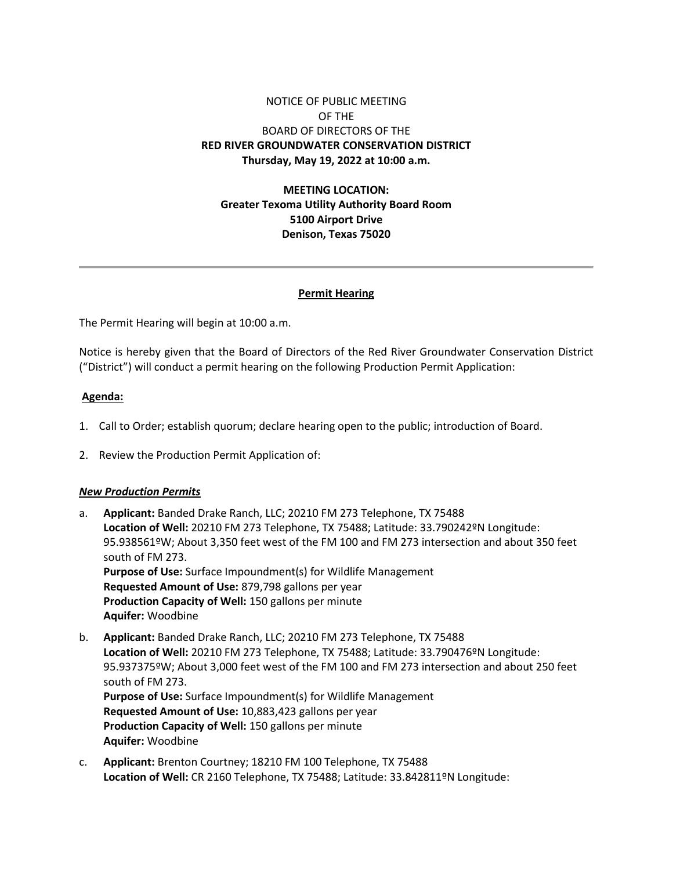# NOTICE OF PUBLIC MEETING OF THE BOARD OF DIRECTORS OF THE **RED RIVER GROUNDWATER CONSERVATION DISTRICT Thursday, May 19, 2022 at 10:00 a.m.**

# **MEETING LOCATION: Greater Texoma Utility Authority Board Room 5100 Airport Drive Denison, Texas 75020**

## **Permit Hearing**

The Permit Hearing will begin at 10:00 a.m.

Notice is hereby given that the Board of Directors of the Red River Groundwater Conservation District ("District") will conduct a permit hearing on the following Production Permit Application:

### **Agenda:**

- 1. Call to Order; establish quorum; declare hearing open to the public; introduction of Board.
- 2. Review the Production Permit Application of:

#### *New Production Permits*

- a. **Applicant:** Banded Drake Ranch, LLC; 20210 FM 273 Telephone, TX 75488 **Location of Well:** 20210 FM 273 Telephone, TX 75488; Latitude: 33.790242ºN Longitude: 95.938561ºW; About 3,350 feet west of the FM 100 and FM 273 intersection and about 350 feet south of FM 273. **Purpose of Use:** Surface Impoundment(s) for Wildlife Management **Requested Amount of Use:** 879,798 gallons per year **Production Capacity of Well:** 150 gallons per minute **Aquifer:** Woodbine
- b. **Applicant:** Banded Drake Ranch, LLC; 20210 FM 273 Telephone, TX 75488 **Location of Well:** 20210 FM 273 Telephone, TX 75488; Latitude: 33.790476ºN Longitude: 95.937375ºW; About 3,000 feet west of the FM 100 and FM 273 intersection and about 250 feet south of FM 273. **Purpose of Use:** Surface Impoundment(s) for Wildlife Management **Requested Amount of Use:** 10,883,423 gallons per year **Production Capacity of Well:** 150 gallons per minute **Aquifer:** Woodbine
- c. **Applicant:** Brenton Courtney; 18210 FM 100 Telephone, TX 75488 **Location of Well:** CR 2160 Telephone, TX 75488; Latitude: 33.842811ºN Longitude: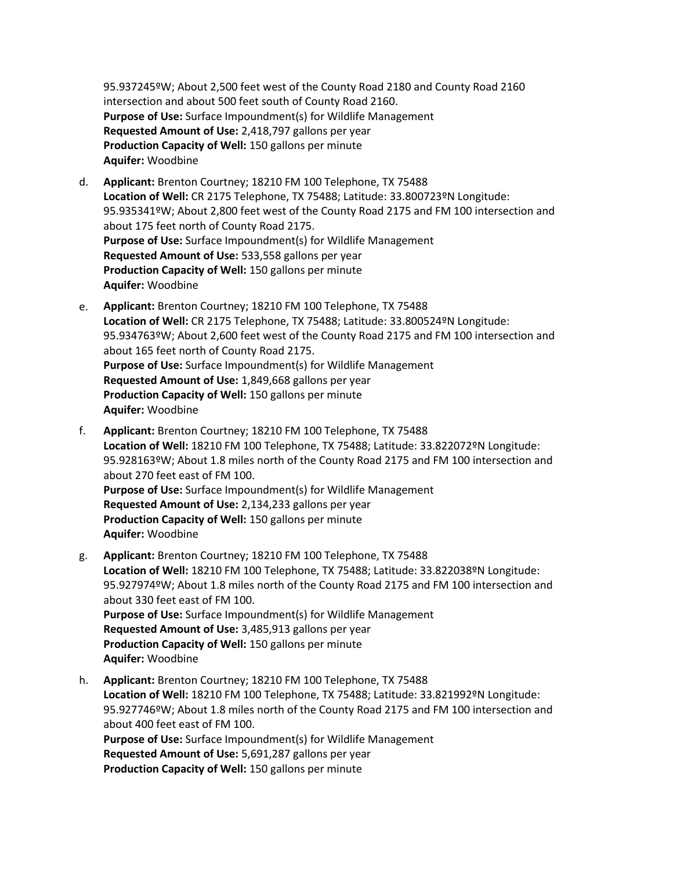95.937245ºW; About 2,500 feet west of the County Road 2180 and County Road 2160 intersection and about 500 feet south of County Road 2160. **Purpose of Use:** Surface Impoundment(s) for Wildlife Management **Requested Amount of Use:** 2,418,797 gallons per year **Production Capacity of Well:** 150 gallons per minute **Aquifer:** Woodbine

- d. **Applicant:** Brenton Courtney; 18210 FM 100 Telephone, TX 75488 **Location of Well:** CR 2175 Telephone, TX 75488; Latitude: 33.800723ºN Longitude: 95.935341ºW; About 2,800 feet west of the County Road 2175 and FM 100 intersection and about 175 feet north of County Road 2175. **Purpose of Use:** Surface Impoundment(s) for Wildlife Management **Requested Amount of Use:** 533,558 gallons per year **Production Capacity of Well:** 150 gallons per minute **Aquifer:** Woodbine
- e. **Applicant:** Brenton Courtney; 18210 FM 100 Telephone, TX 75488 **Location of Well:** CR 2175 Telephone, TX 75488; Latitude: 33.800524ºN Longitude: 95.934763ºW; About 2,600 feet west of the County Road 2175 and FM 100 intersection and about 165 feet north of County Road 2175. **Purpose of Use:** Surface Impoundment(s) for Wildlife Management **Requested Amount of Use:** 1,849,668 gallons per year **Production Capacity of Well:** 150 gallons per minute **Aquifer:** Woodbine
- f. **Applicant:** Brenton Courtney; 18210 FM 100 Telephone, TX 75488 **Location of Well:** 18210 FM 100 Telephone, TX 75488; Latitude: 33.822072ºN Longitude: 95.928163ºW; About 1.8 miles north of the County Road 2175 and FM 100 intersection and about 270 feet east of FM 100. **Purpose of Use:** Surface Impoundment(s) for Wildlife Management **Requested Amount of Use:** 2,134,233 gallons per year **Production Capacity of Well:** 150 gallons per minute **Aquifer:** Woodbine
- g. **Applicant:** Brenton Courtney; 18210 FM 100 Telephone, TX 75488 **Location of Well:** 18210 FM 100 Telephone, TX 75488; Latitude: 33.822038ºN Longitude: 95.927974ºW; About 1.8 miles north of the County Road 2175 and FM 100 intersection and about 330 feet east of FM 100. **Purpose of Use:** Surface Impoundment(s) for Wildlife Management **Requested Amount of Use:** 3,485,913 gallons per year **Production Capacity of Well:** 150 gallons per minute **Aquifer:** Woodbine
- h. **Applicant:** Brenton Courtney; 18210 FM 100 Telephone, TX 75488 **Location of Well:** 18210 FM 100 Telephone, TX 75488; Latitude: 33.821992ºN Longitude: 95.927746ºW; About 1.8 miles north of the County Road 2175 and FM 100 intersection and about 400 feet east of FM 100. **Purpose of Use:** Surface Impoundment(s) for Wildlife Management **Requested Amount of Use:** 5,691,287 gallons per year **Production Capacity of Well:** 150 gallons per minute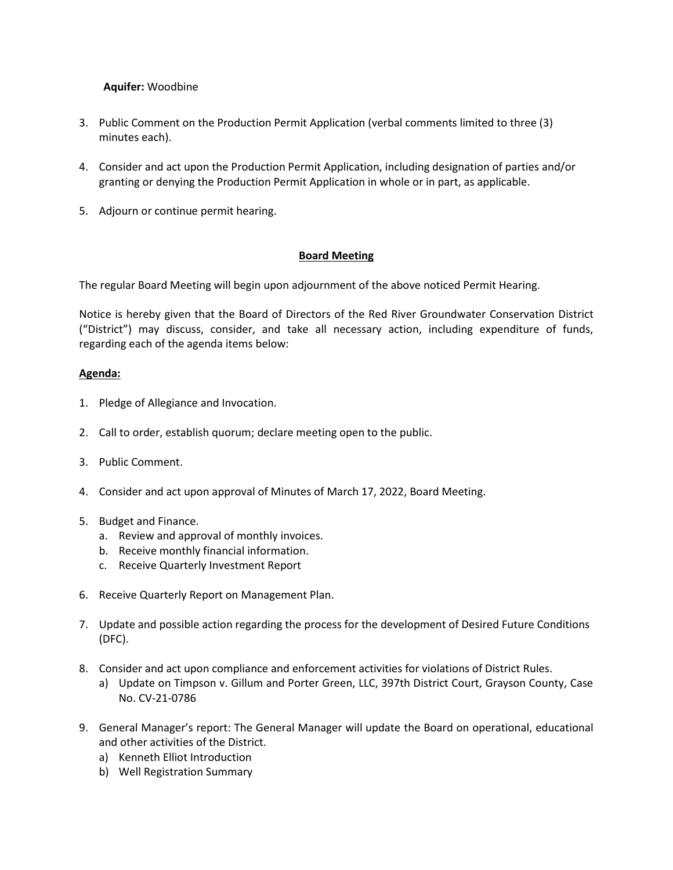## **Aquifer:** Woodbine

- 3. Public Comment on the Production Permit Application (verbal comments limited to three (3) minutes each).
- 4. Consider and act upon the Production Permit Application, including designation of parties and/or granting or denying the Production Permit Application in whole or in part, as applicable.
- 5. Adjourn or continue permit hearing.

## **Board Meeting**

The regular Board Meeting will begin upon adjournment of the above noticed Permit Hearing.

Notice is hereby given that the Board of Directors of the Red River Groundwater Conservation District ("District") may discuss, consider, and take all necessary action, including expenditure of funds, regarding each of the agenda items below:

### **Agenda:**

- 1. Pledge of Allegiance and Invocation.
- 2. Call to order, establish quorum; declare meeting open to the public.
- 3. Public Comment.
- 4. Consider and act upon approval of Minutes of March 17, 2022, Board Meeting.
- 5. Budget and Finance.
	- a. Review and approval of monthly invoices.
	- b. Receive monthly financial information.
	- c. Receive Quarterly Investment Report
- 6. Receive Quarterly Report on Management Plan.
- 7. Update and possible action regarding the process for the development of Desired Future Conditions (DFC).
- 8. Consider and act upon compliance and enforcement activities for violations of District Rules.
	- a) Update on Timpson v. Gillum and Porter Green, LLC, 397th District Court, Grayson County, Case No. CV-21-0786
- 9. General Manager's report: The General Manager will update the Board on operational, educational and other activities of the District.
	- a) Kenneth Elliot Introduction
	- b) Well Registration Summary